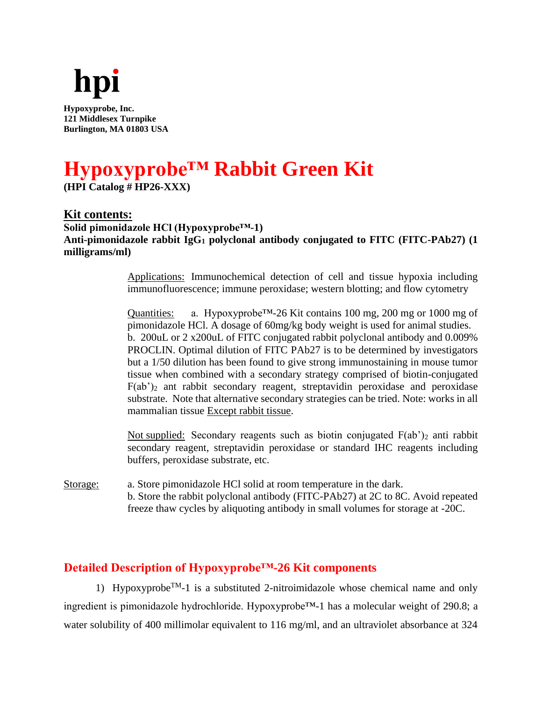

**Hypoxyprobe, Inc. 121 Middlesex Turnpike Burlington, MA 01803 USA**

# **Hypoxyprobe™ Rabbit Green Kit**

**(HPI Catalog # HP26-XXX)**

**Kit contents: Solid pimonidazole HCl (Hypoxyprobe™-1) Anti-pimonidazole rabbit IgG<sup>1</sup> polyclonal antibody conjugated to FITC (FITC-PAb27) (1 milligrams/ml)**

> Applications: Immunochemical detection of cell and tissue hypoxia including immunofluorescence; immune peroxidase; western blotting; and flow cytometry

> Quantities: a. Hypoxyprobe<sup>™-26</sup> Kit contains 100 mg, 200 mg or 1000 mg of pimonidazole HCl. A dosage of 60mg/kg body weight is used for animal studies. b. 200uL or 2 x200uL of FITC conjugated rabbit polyclonal antibody and 0.009% PROCLIN. Optimal dilution of FITC PAb27 is to be determined by investigators but a 1/50 dilution has been found to give strong immunostaining in mouse tumor tissue when combined with a secondary strategy comprised of biotin-conjugated  $F(ab')_2$  ant rabbit secondary reagent, streptavidin peroxidase and peroxidase substrate. Note that alternative secondary strategies can be tried. Note: works in all mammalian tissue Except rabbit tissue.

> Not supplied: Secondary reagents such as biotin conjugated  $F(ab')_2$  anti rabbit secondary reagent, streptavidin peroxidase or standard IHC reagents including buffers, peroxidase substrate, etc.

Storage: a. Store pimonidazole HCl solid at room temperature in the dark. b. Store the rabbit polyclonal antibody (FITC-PAb27) at 2C to 8C. Avoid repeated freeze thaw cycles by aliquoting antibody in small volumes for storage at -20C.

# **Detailed Description of Hypoxyprobe™-26 Kit components**

1) Hypoxyprobe<sup>TM</sup>-1 is a substituted 2-nitroimidazole whose chemical name and only ingredient is pimonidazole hydrochloride. Hypoxyprobe™-1 has a molecular weight of 290.8; a water solubility of 400 millimolar equivalent to 116 mg/ml, and an ultraviolet absorbance at 324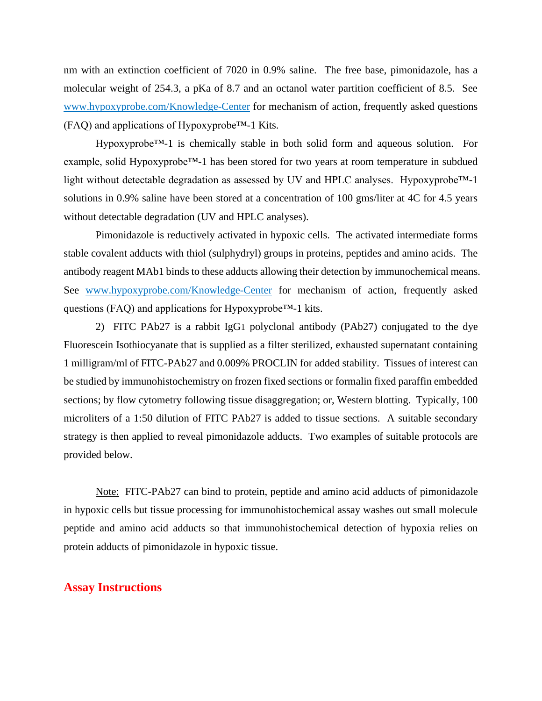nm with an extinction coefficient of 7020 in 0.9% saline. The free base, pimonidazole, has a molecular weight of 254.3, a pKa of 8.7 and an octanol water partition coefficient of 8.5. See [www.hypoxyprobe.com/Knowledge-](http://www.hypoxyprobe.com/Knowledge)Center for mechanism of action, frequently asked questions (FAQ) and applications of Hypoxyprobe™-1 Kits.

Hypoxyprobe<sup>™-1</sup> is chemically stable in both solid form and aqueous solution. For example, solid Hypoxyprobe™-1 has been stored for two years at room temperature in subdued light without detectable degradation as assessed by UV and HPLC analyses. Hypoxyprobe™-1 solutions in 0.9% saline have been stored at a concentration of 100 gms/liter at 4C for 4.5 years without detectable degradation (UV and HPLC analyses).

Pimonidazole is reductively activated in hypoxic cells. The activated intermediate forms stable covalent adducts with thiol (sulphydryl) groups in proteins, peptides and amino acids. The antibody reagent MAb1 binds to these adducts allowing their detection by immunochemical means. See [www.hypoxyprobe.com/Knowledge-](http://www.hypoxyprobe.com/Knowledge)Center for mechanism of action, frequently asked questions (FAQ) and applications for Hypoxyprobe™-1 kits.

2) FITC PAb27 is a rabbit IgG1 polyclonal antibody (PAb27) conjugated to the dye Fluorescein Isothiocyanate that is supplied as a filter sterilized, exhausted supernatant containing 1 milligram/ml of FITC-PAb27 and 0.009% PROCLIN for added stability. Tissues of interest can be studied by immunohistochemistry on frozen fixed sections or formalin fixed paraffin embedded sections; by flow cytometry following tissue disaggregation; or, Western blotting. Typically, 100 microliters of a 1:50 dilution of FITC PAb27 is added to tissue sections. A suitable secondary strategy is then applied to reveal pimonidazole adducts. Two examples of suitable protocols are provided below.

Note: FITC-PAb27 can bind to protein, peptide and amino acid adducts of pimonidazole in hypoxic cells but tissue processing for immunohistochemical assay washes out small molecule peptide and amino acid adducts so that immunohistochemical detection of hypoxia relies on protein adducts of pimonidazole in hypoxic tissue.

## **Assay Instructions**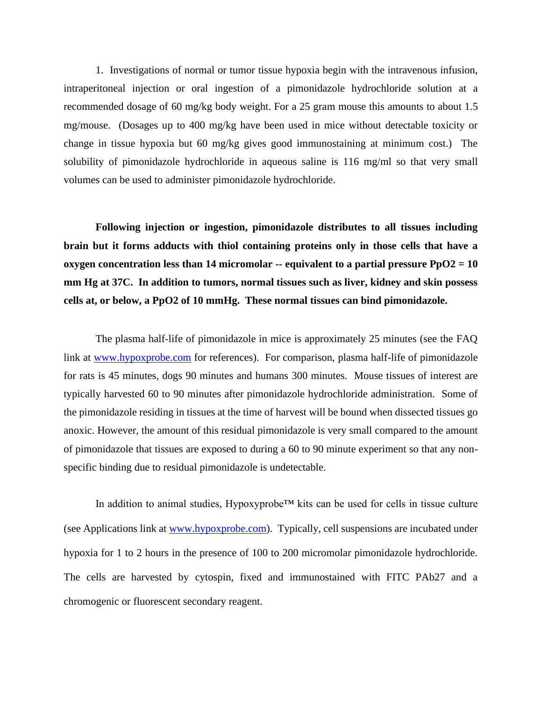1. Investigations of normal or tumor tissue hypoxia begin with the intravenous infusion, intraperitoneal injection or oral ingestion of a pimonidazole hydrochloride solution at a recommended dosage of 60 mg/kg body weight. For a 25 gram mouse this amounts to about 1.5 mg/mouse. (Dosages up to 400 mg/kg have been used in mice without detectable toxicity or change in tissue hypoxia but 60 mg/kg gives good immunostaining at minimum cost.) The solubility of pimonidazole hydrochloride in aqueous saline is 116 mg/ml so that very small volumes can be used to administer pimonidazole hydrochloride.

**Following injection or ingestion, pimonidazole distributes to all tissues including brain but it forms adducts with thiol containing proteins only in those cells that have a oxygen concentration less than 14 micromolar -- equivalent to a partial pressure PpO2 = 10 mm Hg at 37C. In addition to tumors, normal tissues such as liver, kidney and skin possess cells at, or below, a PpO2 of 10 mmHg. These normal tissues can bind pimonidazole.**

The plasma half-life of pimonidazole in mice is approximately 25 minutes (see the FAQ link at [www.hypoxprobe.com](http://www.hypoxprobe.com/) for references). For comparison, plasma half-life of pimonidazole for rats is 45 minutes, dogs 90 minutes and humans 300 minutes. Mouse tissues of interest are typically harvested 60 to 90 minutes after pimonidazole hydrochloride administration. Some of the pimonidazole residing in tissues at the time of harvest will be bound when dissected tissues go anoxic. However, the amount of this residual pimonidazole is very small compared to the amount of pimonidazole that tissues are exposed to during a 60 to 90 minute experiment so that any nonspecific binding due to residual pimonidazole is undetectable.

In addition to animal studies, Hypoxyprobe™ kits can be used for cells in tissue culture (see Applications link at [www.hypoxprobe.com\)](http://www.hypoxprobe.com/). Typically, cell suspensions are incubated under hypoxia for 1 to 2 hours in the presence of 100 to 200 micromolar pimonidazole hydrochloride. The cells are harvested by cytospin, fixed and immunostained with FITC PAb27 and a chromogenic or fluorescent secondary reagent.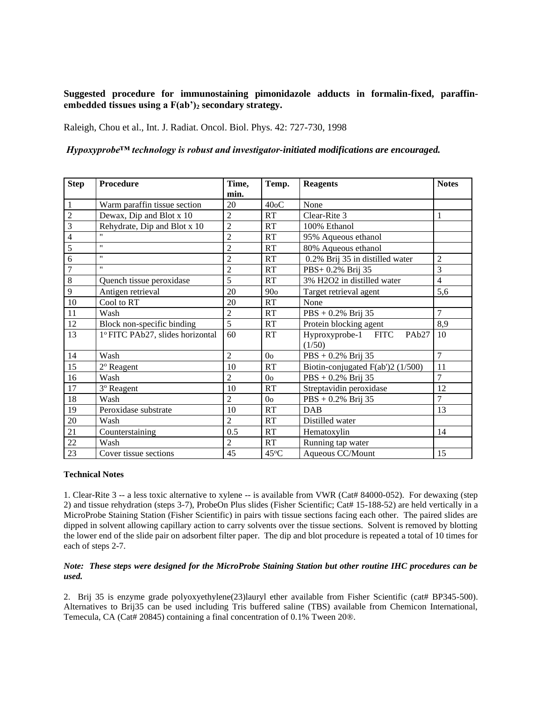### **Suggested procedure for immunostaining pimonidazole adducts in formalin-fixed, paraffinembedded tissues using a F(ab')<sup>2</sup> secondary strategy.**

Raleigh, Chou et al., Int. J. Radiat. Oncol. Biol. Phys. 42: 727-730, 1998

#### *Hypoxyprobe™ technology is robust and investigator-initiated modifications are encouraged.*

| <b>Step</b>              | <b>Procedure</b>                 | Time,          | Temp.             | <b>Reagents</b>                                    | <b>Notes</b>   |
|--------------------------|----------------------------------|----------------|-------------------|----------------------------------------------------|----------------|
|                          |                                  | min.           |                   |                                                    |                |
| 1                        | Warm paraffin tissue section     | 20             | 40 <sub>o</sub> C | None                                               |                |
| $\overline{c}$           | Dewax, Dip and Blot x 10         | $\overline{2}$ | <b>RT</b>         | Clear-Rite 3                                       | 1              |
| 3                        | Rehydrate, Dip and Blot x 10     | $\overline{2}$ | RT                | 100% Ethanol                                       |                |
| $\overline{\mathcal{L}}$ | $\mathbf{H}$                     | $\overline{2}$ | RT                | 95% Aqueous ethanol                                |                |
| 5                        | $\mathbf{u}$                     | $\overline{c}$ | RT                | 80% Aqueous ethanol                                |                |
| 6                        | $^{\prime\prime}$                | $\overline{c}$ | <b>RT</b>         | 0.2% Brij 35 in distilled water                    | $\overline{c}$ |
| $\overline{7}$           | $^{\prime\prime}$                | $\overline{2}$ | RT                | PBS+ 0.2% Brij 35                                  | 3              |
| $\,8\,$                  | Quench tissue peroxidase         | 5              | <b>RT</b>         | 3% H2O2 in distilled water                         | $\overline{4}$ |
| 9                        | Antigen retrieval                | 20             | 90 <sub>o</sub>   | Target retrieval agent                             | 5,6            |
| 10                       | Cool to RT                       | 20             | RT                | None                                               |                |
| 11                       | Wash                             | $\overline{c}$ | RT                | $PBS + 0.2\%$ Brij 35                              | $\tau$         |
| 12                       | Block non-specific binding       | 5              | RT                | Protein blocking agent                             | 8,9            |
| 13                       | 1º FITC PAb27, slides horizontal | 60             | <b>RT</b>         | Hyproxyprobe-1 FITC<br>PAb <sub>27</sub><br>(1/50) | 10             |
| 14                       | Wash                             | $\overline{2}$ | 0 <sub>o</sub>    | $PBS + 0.2%$ Brij 35                               | 7              |
| 15                       | 2º Reagent                       | 10             | RT                | Biotin-conjugated F(ab')2 (1/500)                  | 11             |
| 16                       | Wash                             | $\overline{c}$ | 0 <sub>o</sub>    | $PBS + 0.2%$ Brij 35                               | $\overline{7}$ |
| 17                       | <sup>3</sup> º Reagent           | 10             | <b>RT</b>         | Streptavidin peroxidase                            | 12             |
| 18                       | Wash                             | $\overline{2}$ | 0 <sub>o</sub>    | $PBS + 0.2%$ Brij 35                               | 7              |
| 19                       | Peroxidase substrate             | 10             | RT                | <b>DAB</b>                                         | 13             |
| 20                       | Wash                             | $\overline{c}$ | <b>RT</b>         | Distilled water                                    |                |
| 21                       | Counterstaining                  | 0.5            | RT                | Hematoxylin                                        | 14             |
| 22                       | Wash                             | $\overline{2}$ | RT                | Running tap water                                  |                |
| 23                       | Cover tissue sections            | 45             | $45^{\circ}$ C    | Aqueous CC/Mount                                   | 15             |

#### **Technical Notes**

1. Clear-Rite 3 -- a less toxic alternative to xylene -- is available from VWR (Cat# 84000-052). For dewaxing (step 2) and tissue rehydration (steps 3-7), ProbeOn Plus slides (Fisher Scientific; Cat# 15-188-52) are held vertically in a MicroProbe Staining Station (Fisher Scientific) in pairs with tissue sections facing each other. The paired slides are dipped in solvent allowing capillary action to carry solvents over the tissue sections. Solvent is removed by blotting the lower end of the slide pair on adsorbent filter paper. The dip and blot procedure is repeated a total of 10 times for each of steps 2-7.

#### *Note: These steps were designed for the MicroProbe Staining Station but other routine IHC procedures can be used.*

2. Brij 35 is enzyme grade polyoxyethylene(23)lauryl ether available from Fisher Scientific (cat# BP345-500). Alternatives to Brij35 can be used including Tris buffered saline (TBS) available from Chemicon International, Temecula, CA (Cat# 20845) containing a final concentration of 0.1% Tween 20®.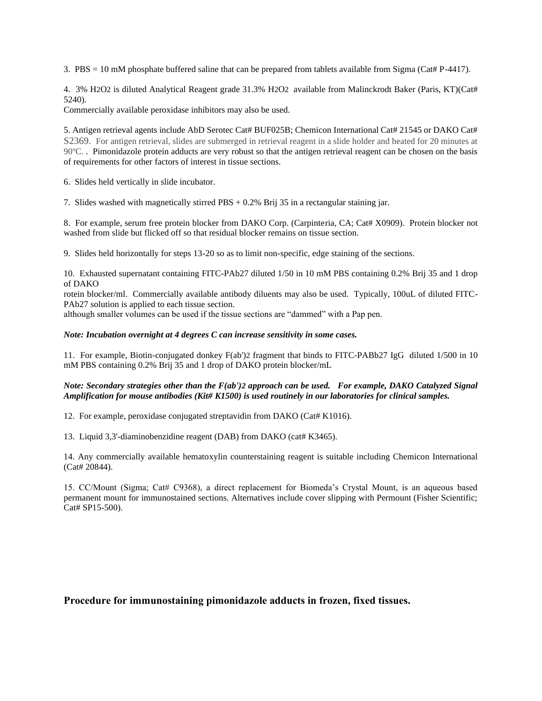3. PBS = 10 mM phosphate buffered saline that can be prepared from tablets available from Sigma (Cat# P-4417).

4. 3% H2O2 is diluted Analytical Reagent grade 31.3% H2O2 available from Malinckrodt Baker (Paris, KT)(Cat# 5240).

Commercially available peroxidase inhibitors may also be used.

5. Antigen retrieval agents include AbD Serotec Cat# BUF025B; Chemicon International Cat# 21545 or DAKO Cat# S2369. For antigen retrieval, slides are submerged in retrieval reagent in a slide holder and heated for 20 minutes at 90<sup>o</sup>C. . Pimonidazole protein adducts are very robust so that the antigen retrieval reagent can be chosen on the basis of requirements for other factors of interest in tissue sections.

6. Slides held vertically in slide incubator.

7. Slides washed with magnetically stirred PBS + 0.2% Brij 35 in a rectangular staining jar.

8. For example, serum free protein blocker from DAKO Corp. (Carpinteria, CA; Cat# X0909). Protein blocker not washed from slide but flicked off so that residual blocker remains on tissue section.

9. Slides held horizontally for steps 13-20 so as to limit non-specific, edge staining of the sections.

10. Exhausted supernatant containing FITC-PAb27 diluted 1/50 in 10 mM PBS containing 0.2% Brij 35 and 1 drop of DAKO

rotein blocker/ml. Commercially available antibody diluents may also be used. Typically, 100uL of diluted FITC-PAb27 solution is applied to each tissue section.

although smaller volumes can be used if the tissue sections are "dammed" with a Pap pen.

#### *Note: Incubation overnight at 4 degrees C can increase sensitivity in some cases.*

11. For example, Biotin-conjugated donkey F(ab')2 fragment that binds to FITC-PABb27 IgG diluted 1/500 in 10 mM PBS containing 0.2% Brij 35 and 1 drop of DAKO protein blocker/mL

#### *Note: Secondary strategies other than the F(ab')2 approach can be used. For example, DAKO Catalyzed Signal Amplification for mouse antibodies (Kit# K1500) is used routinely in our laboratories for clinical samples.*

12. For example, peroxidase conjugated streptavidin from DAKO (Cat# K1016).

13. Liquid 3,3'-diaminobenzidine reagent (DAB) from DAKO (cat# K3465).

14. Any commercially available hematoxylin counterstaining reagent is suitable including Chemicon International (Cat# 20844).

15. CC/Mount (Sigma; Cat# C9368), a direct replacement for Biomeda's Crystal Mount, is an aqueous based permanent mount for immunostained sections. Alternatives include cover slipping with Permount (Fisher Scientific; Cat# SP15-500).

#### **Procedure for immunostaining pimonidazole adducts in frozen, fixed tissues.**